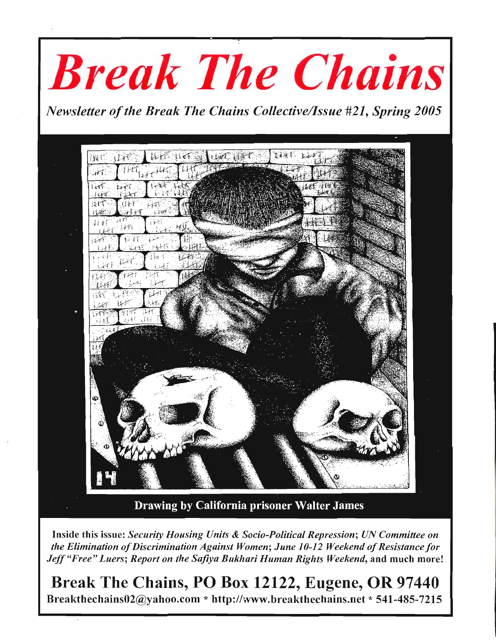

Inside this issue: *Security Housing Units & Socio-Political Repression; UN Committee on the Elimination of Discrimination Against Women; June 10-12 Weekend of Resistance for Jeff "Free" Luers; Report on the Sajiya Bukhari Human Rights Weekend,* and much more!

Break The Chains, PO Box 12122, Eugene, OR 97440 Breakthechains02@yahoo.com \* http://www.breakthechains.net \* 541-485-7215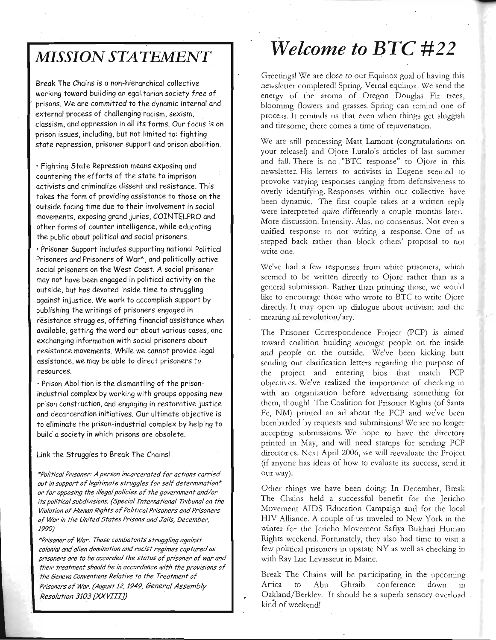## *MISSION STATEMENT*

Break The Chains is a non-hierarchical collective working toward building an egalitarian society free of prisons. We are committed to the dynamic internal and external process of challenging racism, sexism, classism, and oppression in all its forms. Our focus is on prison issues, including, but not limited to: fighting state repression, prisoner support and prison abolition.

• Fighting State Repression means exposing and countering the efforts of the state to imprison activists and criminalize dissent and resistance. This takes the form of providing assistance to those on the outside facing time due to their involvement in social movements, exposing grand juries, COINTELPRO and other forms of counter intelligence, while educating the public about political and social prisoners.

• Prisoner Support includes supporting national Political Prisoners and Prisoners of War\*, and politically active social prisoners on the West Coast. A social prisoner may not have been engaged in political activity on the outside, but has devoted inside time to struggling against injustice. We work to accomplish support by publishing the writings of prisoners engaged in resistance struggles, offering financial assistance when available, getting the word out about various cases, and exchanging information with social prisoners about resistance movements. While we cannot provide legal assistance, we may be able to direct prisoners to resources.

• Prison Abolition is the dismantling of the prisonindustrial complex by working with groups opposing new prison construction, and engaging in restorative justice and decarceration initiatives. Our ultimate objective is to eliminate the prison-industrial complex by helping to build a society in which prisons are obsolete.

#### Link the Struggles to Break The Chains!

\*Political Prisoner: A person incarcerated for actions carried out in support of legitimate struggles for self determination\* or for opposing the illegal policies of the government and/or its political subdivisions. (Special International Tribunal on the Violation of Human Rights of Political Prisoners and Prisoners of War in the United States Prisons and Jails, December, 1990)

\*Prisoner of War: Those combatants struggling against colonial and alien domination and racist regimes captured as prisoners are to be accorded the status of prisoner of war and their treatment should be in accordance with the provisions of the Geneva Conventions Relative to the Treatment of Prisoners of War. (August 12,1949, General Assembly Resolution 3103 [XXVIII])

## *Welcome to ETC #22*

Greetings! We are close to our Equinox goal of having this newsletter completed! Spring. Vernal equinox. We send the energy of the aroma of Oregon Douglas Fir trees, blooming flowers and grasses. Spring can remind one of process. It reminds us that even.when things get sluggish and tiresome, there comes a time of rejuvenation.

We are still processing Matt Lamont (congratulations on your release!) and Ojore Lutalo's articles of last summer and fall. There is no. "ETC response" to Ojore in this newsletter. His letters to activists in Eugene seemed to provoke varying responses ranging from defensiveness to overly identifying. Responses within our collective have been dynamic. The first couple takes at a written reply were interpreted quite differently a couple months later. More discussion. Intensity. Alas, no consensus. Not even a unified response to not writing a response. One of us stepped back rather than block others' proposal to not write one.

We've had a few responses from white prisoners, which seemed to be written directly to Ojore rather than as a general submission. Rather than printing those, we would like to encourage those who wrote to ETC to write Ojore directly. It may open up dialogue about activism and the meaning of revolution/ary.

The Prisoner Correspondence Project (PCP) is aimed toward coalition building amongst people on the inside and people on the outside. We've been kicking butt sending out clarification letters regarding the purpose of the project and entering bios that match PCP objectives. We've realized the importance of checking in with an organization before advertising something for them, though! The Coalition for Prisoner Rights (of Santa Fe, NM) printed an ad about the PCP and we've been bombarded by requests and submissions! We are no longer accepting submissions. We hope to have the directory printed in May, and will need stamps for sending PCP directories. Next April 2006, we will reevaluate the Project (if anyone has ideas of how to evaluate its success, send it our way).

Other things we have been doing: In December, Break The Chains held a successful benefit for the Jericho Movement AIDS Education Campaign and for the local HIV Alliance. A couple of us traveled to New York in the winter for the Jericho Movement Safiya Bukhari Human Rights weekend. Fortunately, they also had time to visit a few political prisoners in upstate NY as well as checking in with Ray Luc Levasseur in Maine.

Break The Chains will be participating in the upcoming Attica to Abu Ghraib conference down in Oakland/Berkley. It should be a superb sensory overload kind of weekend!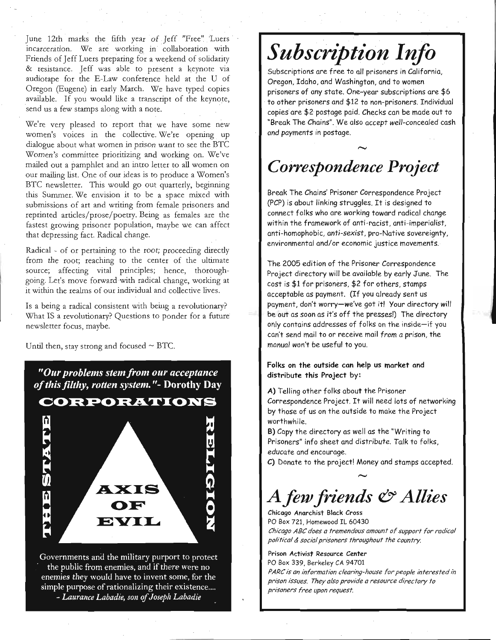June 12th marks the fifth year of Jeff "Free" Luers incarceration. We are working in collaboration with Friends of Jeff Luers preparing for a weekend of solidarity & resistance. Jeff was able to present a keynote via audiotape for the E-Law conference held at the U of Oregon (Eugene) in early March. We have typed copies available. If you would like a transcript of the keynote, send us a few stamps along with a note.

We're very pleased to report that we have some new women's voices in the collective. We're opening up dialogue about what women in prison want to see the ETC Women's committee prioritizing and working on. We've mailed out a pamphlet and an intro letter to all women on our mailing list. One of our ideas is to produce a Women's ETC newsletter. This would go out quarterly, beginning this Summer. We envision it to be a space mixed with submissions of art and writing from female prisoners and reprinted articles/prose/poetry. Being as females are the fastest growing prisoner population, maybe we can affect that depressing fact. Radical change.

Radical - of or pertaining to the root; proceeding directly from the root; reaching to the center of the ultimate source; affecting vital principles; hence, thoroughgoing. Let's move forward with radical change, working at it within the realms of our individual and collective lives.

Is a being a radical consistent with being a revolutionary? What IS a revolutionary? Questions to ponder for a future newsletter focus, maybe.

Until then, stay strong and focused  $\sim$  BTC.

# *"Our problems stem from our acceptance of this filthy, rotten system."-* **Dorothy Day CORPORATIONS** chatars coen **DES DIGETOR** AXIS ЕМИ

Governments and the military purport to protect the public from enemies, and if there were no enemies they would have to invent some, for the simple purpose of rationalizing their existence.... - *Laurance Labadie, son of Joseph Labadie*

# *Subscription Info*

Subscriptions are free to all prisoners in California, Oregon, Idaho, and Washington, and to women prisoners of any state. One-year subscriptions are \$6 to other prisoners and \$12 to non-prisoners. Individual copies are \$2 postage paid. Checks can be made out to "Break The Chains". We also accept well-concealed cash and payments in postage.

## *Correspondence Project*

Break The Chains' Prisoner Correspondence Project (PCP) is about linking struggles. It is designed to connect folks who are working toward radical change within the framework of anti-racist, anti-imperialist, anti-homophobic, anti-sexist, pro-Native sovereignty, environmental and/or economic justice movements.

The 2005 edition of the Prisoner Correspondence Project directory will be available by early June. The cost is \$1 for prisoners, \$2 for others, stamps acceptable as payment. (If you already sent us payment, don't worry—we've got it! Your directory will be out as soon as it's off the presses!) The directory only contains addresses of folks on the inside—if you can't send mail to or receive mail from a prison, the manual won't be useful to you.

#### **Folks on the outside can help us market and distribute this Project by:**

A) Telling other folks about the Prisoner Correspondence Project. It will need lots of networking by those of us on the outside to make the Project worthwhile.

B) Copy the directory as well as the "Writing to Prisoners" info sheet and distribute. Talk to folks, educate and encourage.

C) Donate to the project! Money and stamps accepted.

*A few friends & Allies*

**Chicago Anarchist Black Cross** PO Box 721, Homewood IL 60430 Chicago ABC does a tremendous amount of support for radical political & social prisoners throughout the country.

**Prison Activist Resource Center** PO Box 339, Berkeley CA 94701 PARC is an information clearing-house for people interested in prison issues. They also provide a resource directory to prisoners free upon request.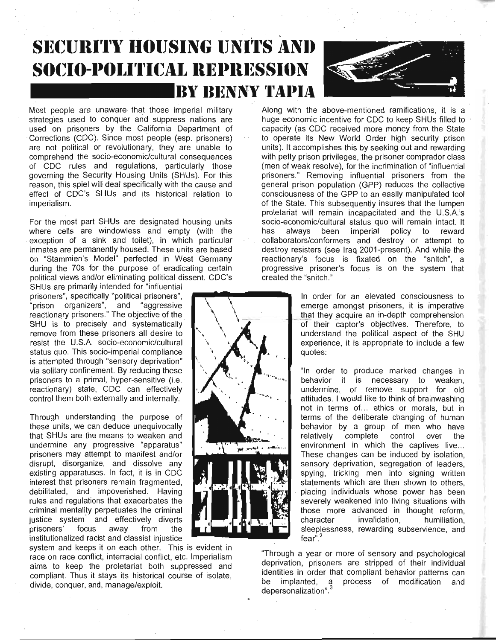## **SECURITY HOUSING UNITS AND SOCIO-POLITICAL REPRESSION IBY BENNY TAPIA**

Most people are unaware that those imperial military strategies used to conquer and suppress nations are used on prisoners by the California Department of Corrections (CDC). Since most people (esp. prisoners) are not political or revolutionary, they are unable to comprehend the socio-economic/cultural consequences of CDC rules and regulations, particularly those governing the Security Housing Units (SHUs). For this reason, this spiel will deal specifically with the cause and effect of CDC's SHUs and its historical relation to imperialism.

For the most part SHUs are designated housing units where cells are windowless and empty (with the exception of a sink and toilet), in which particular inmates are permanently housed. These units are based on "Stammien's Model" perfected in West Germany during the 70s for the purpose of eradicating certain political views and/or eliminating political dissent. CDC's

SHUs are primarily intended for "influential prisoners", specifically "political prisoners", "prison organizers", and "aggressive reactionary prisoners." The objective of the SHU is to precisely and systematically remove from these prisoners all desire to resist the U.S.A. socio-economic/cultural status quo. This socio-imperial compliance is attempted through "sensory deprivation" via solitary confinement. By reducing these prisoners to a primal, hyper-sensitive (i.e. reactionary) state, CDC can effectively control them both externally and internally.

Through understanding the purpose of these units, we can deduce unequivocally that SHUs are the means to weaken and undermine any progressive "apparatus" prisoners may attempt to manifest and/or disrupt, disorganize, and dissolve any existing apparatuses. In fact, it is in CDC interest that prisoners remain fragmented, debilitated, and impoverished. Having rules and regulations that exacerbates the criminal mentality perpetuates the criminal justice system $1$  and effectively diverts prisoners' focus away from the institutionalized racist and classist injustice

system and keeps it on each other. This is evident in race on race conflict, interracial conflict, etc. Imperialism aims to keep the proletariat both suppressed and compliant. Thus it stays its historical course of isolate, divide, conquer, and, manage/exploit.

Along with the above-mentioned ramifications, it is a huge economic incentive for CDC to keep SHUs filled to capacity (as CDC received more money from the State to operate its New World Order high security prison units). It accomplishes this by seeking out and rewarding with petty prison privileges, the prisoner comprador class (men of weak resolve), for the incrimination of "influential prisoners." Removing influential prisoners from the general prison population (GPP) reduces the collective consciousness of the GPP to an easily manipulated tool of the State. This subsequently insures that the lumpen proletariat will remain incapacitated and the U.S.A.'s socio-economic/cultural status quo will remain intact. It has always been imperial policy to reward collaborators/conformers and destroy or attempt to destroy resisters (see Iraq 2001-present). And while the reactionary's focus is fixated on the "snitch", a progressive prisoner's focus is on the system that created the "snitch."

> In order for an elevated consciousness to emerge amongst prisoners, it is imperative that they acquire an in-depth comprehension of their captor's objectives. Therefore, to understand the political aspect of the SHU experience, it is appropriate to include a few quotes:

"In order to produce marked changes in behavior it is necessary to weaken, undermine, or remove support for old attitudes. I would like to think of brainwashing not in terms of... ethics or morals, but in terms of the deliberate changing of human behavior by a group of men who have relatively complete control over the environment in which the captives live... These changes can be induced by isolation, sensory deprivation, segregation of leaders, spying, tricking men into signing written statements which are then shown to others, placing individuals whose power has been severely weakened into living situations with those more advanced in thought reform, character invalidation, humiliation, sleeplessness, rewarding subservience, and fear".<sup>2</sup>

"Through a year or more of sensory and psychological deprivation, prisoners are stripped of their individual identities in order that compliant behavior patterns can be implanted, a process of modification and depersonalization".

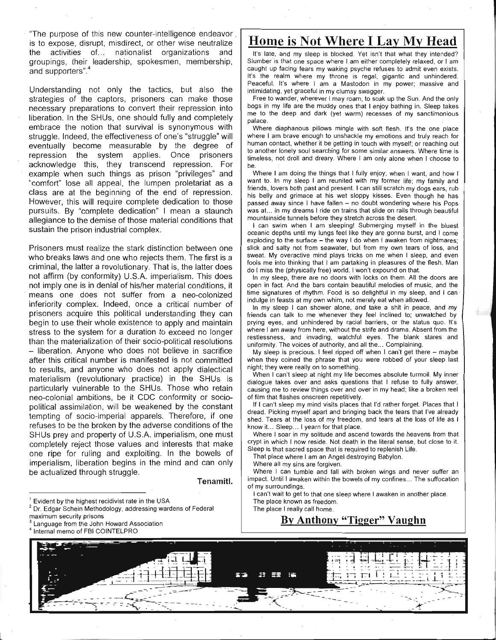"The purpose of this new counter-intelligence endeavor is to expose, disrupt, misdirect, or other wise neutralize the activities of... nationalist organizations and groupings, their leadership, spokesmen, membership, and supporters".4

Understanding not only the tactics, but also the strategies of the captors, prisoners can make those necessary preparations to convert their repression into liberation. In the SHUs, one should fully and completely embrace the notion that survival is synonymous with struggle. Indeed, the effectiveness of one's "struggle" will eventually become measurable by the degree of repression the system applies. Once prisoners acknowledge this, they transcend repression. For example when such things as prison "privileges" and "comfort" lose all appeal, the lumpen proletariat as a class are at the beginning of the end of repression. However, this will require complete dedication to those pursuits. By "complete dedication" I mean a staunch allegiance to the demise of those material conditions that sustain the prison industrial complex.

Prisoners must realize the stark distinction between one who breaks laws and one who rejects them. The first is a criminal, the latter a revolutionary. That is, the latter does not affirm (by conformity) U.S.A. imperialism. This does not imply one is in denial of his/her material conditions, it means one does not suffer from a neo-colonized inferiority complex. Indeed, once a critical number of prisoners acquire this political understanding they can begin to use their whole existence to apply and maintain stress to the system for a duration to exceed no longer than the materialization of their socio-political resolutions - liberation. Anyone who does not believe in sacrifice after this critical number is manifested is not committed to results, and anyone who does not apply dialectical materialism (revolutionary practice) in the SHUs is particularly vulnerable to the SHUs. Those who retain neo-colonial ambitions, be it CDC conformity or sociopolitical assimilation, will be weakened by the constant tempting of socio-imperial apparels. Therefore, if one refuses to be the broken by the adverse conditions of the SHUs prey and property of U.S.A. imperialism, one must completely reject those values and interests that make one ripe for ruling and exploiting. In the bowels of imperialism, liberation begins in the mind and can only be actualized through struggle.

**Tenamitl.**

 $<sup>1</sup>$  Evident by the highest recidivist rate in the USA</sup>

 $2$  Dr. Edgar Schein Methodology, addressing wardens of Federal

maximum security prisons

Language from the John Howard Association

4 Internal memo of FBI COINTELPRO

## **Home is Not Where I Lay My Head**

It's late, and my sleep is blocked. Yet isn't that what they intended? Slumber is that one space where I am either completely relaxed, or I am caught up facing fears my waking psyche refuses to admit even exists. It's the realm where my throne is regal, gigantic and unhindered. Peaceful. It's where I am a Mastodon in my power; massive and intimidating, yet graceful in my clumsy swagger.

Free to wander, wherever I may roam, to soak up the Sun. And the only bogs in my life are the muddy ones that I enjoy bathing in. Sleep takes me to the deep and dark (yet warm) recesses of my sanctimonious palace.

Where diaphanous pillows mingle with soft flesh. It's the one place where I am brave enough to unshackle my emotions and truly reach for human contact, whether it be getting in touch with myself; or reaching out to another lonely soul searching for some similar answers. Where time is timeless, not droll and dreary. Where I am only alone when I choose to be.

Where I am doing the things that I fully enjoy; when I want, and how I want to. In my sleep I am reunited with my former life; my family and friends, lovers both past and present. I can still scratch my dogs ears, rub his belly and grimace at his wet sloppy kisses. Even though he has passed away since I have fallen - no doubt wondering where his Pops was at... In my dreams I ride on trains that slide on rails through beautiful mountainside tunnels before they stretch across the desert.

I can swim when I am sleeping! Submerging myself in the bluest oceanic depths until my lungs feel like they are gonna burst, and I come exploding to the surface  $-$  the way I do when I awaken from nightmares; slick and salty not from seawater, but from my own tears of loss, and sweat. My overactive mind plays tricks on me when I sleep, and even fools me into thinking that I am partaking in pleasures of the flesh. Man do I miss the (physically free) world. I won't expound on that.

In my sleep, there are no doors with locks on them. All the doors are open in fact. And the bars contain beautiful melodies of music, and the time signatures of rhythm. Food is so delightful in my sleep, and I can indulge in feasts at my own whim, not merely eat when allowed.

In my sleep I can shower alone, and take a shit in peace, and my friends can talk to me whenever they feel inclined to; unwatched by prying eyes, and unhindered by racial barriers, or the status quo. It's where I am away from here, without the strife and drama. Absent from the restlessness, and invading, watchful eyes. The blank stares and uniformity. The voices of authority, and all the... Complaining.

My sleep is precious. I feel ripped off when  $I$  can't get there  $-$  maybe when they coined the phrase that you were robbed of your sleep last night; they were really on to something.

When I can't sleep at night my life becomes absolute turmoil. My inner dialogue takes over and asks questions that I refuse to fully answer, causing me to review things over and over in my head; like a broken reel of film that flashes onscreen repetitively.

If I can't sleep my mind visits places that I'd rather forget. Places that I dread. Picking myself apart and bringing back the tears that I've already shed. Tears at the loss of my freedom, and tears at the loss of life as I know it... Sleep... I yearn for that place.

Where I soar in my solitude and ascend towards the heavens from that crypt in which I now reside. Not death in the literal sense, but close to it. Sleep is that sacred space that is required to replenish Life.

That place where I am an Angel destroying Babylon.

Where all my sins are forgiven.

Where I can tumble and fall with broken wings and never suffer an impact. Until I awaken within the bowels of my confines... The suffocation of my surroundings.

I can't wait to get to that one sleep where I awaken in another place. The place known as freedom.

The place I really call home.

**By Anthony "Tigger" Vaughn**

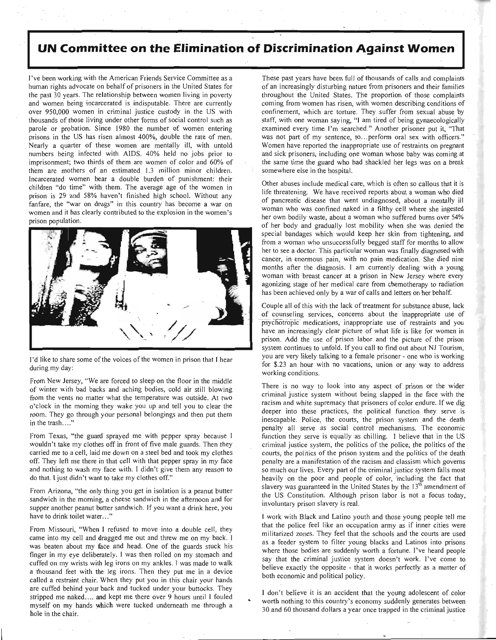### **UN Committee on the Elimination of Discrimination Against Women**

I've been working with the American Friends Service Committee as a human rights advocate on behalf of prisoners in the United States for the past 30 years. The relationship between women living in poverty and women being incarcerated is indisputable. There are currently over 950,000 women in criminal justice custody in the US with thousands of those living under other forms of social control such as parole or probation. Since 1980 the number of women entering prisons in the US has risen almost 400%, double the rate of men. Nearly a quarter of these women are mentally ill, with untold numbers being infected with AIDS. 40% held no jobs prior to imprisonment; two thirds of them are women of color and 60% of them are mothers of an estimated 1.3 million minor children. Incarcerated women bear a double burden of punishment: their children "do time" with them. The average age of the women in prison is 29 and 58% haven't finished high school. Without any fanfare, the "war on drugs" in this country has become a war on women and it has clearly contributed to the explosion in the women's prison population.



I'd like to share some of the voices of the women in prison that I hear during my day:

From New Jersey, "We are forced to sleep on the floor in the middle of winter with bad backs and aching bodies, cold air still blowing from the vents no matter what the temperature was outside. At two o'clock in the morning they wake you up and tell you to clear the room. They go through your personal belongings and then put them in the trash...."

From Texas, "the guard sprayed me with pepper spray because I wouldn't take my clothes off in front of five male guards. Then they carried me to a cell, laid me down on a steel bed and took my clothes off. They left me there in that cell with that pepper spray in my face and nothing to wash my face with. I didn't give them any reason to do that. I just didn't want to take my clothes off."

From Arizona, "the only thing you get in isolation is a peanut butter sandwich in the morning, a cheese sandwich in the afternoon and for supper another peanut butter sandwich. If you want a drink here, you have to drink toilet water...'

From Missouri, "When I refused to move into a double cell, they came into my cell and dragged me out and threw me on my back. I was beaten about my face and head. One of the guards stuck his finger in my eye deliberately. I was then rolled on my stomach and cuffed on my wrists with leg irons on my ankles. I was made to walk a thousand feet with the leg irons. Then they put me in a device called a restraint chair. When they put you in this chair your hands are cuffed behind your back and tucked under your buttocks. They stripped me naked.... and kept me there over 9 hours until I fouled myself on my hands which were tucked underneath me through a hole in the chair.

These past years have been full of thousands of calls and complaints of an increasingly disturbing nature from prisoners and their families throughout the United States. The proportion of those complaints coming from women has risen, with women describing conditions of confinement, which are torture. They suffer from sexual abuse by staff, with one woman saying, "I am tired of being gynaecologically examined every time I'm searched." Another prisoner put it, "That was not part of my sentence, to...perform oral sex with officers." Women have reported the inappropriate use of restraints on pregnant and sick prisoners, including one woman whose baby was coming at the same time the guard who had shackled her legs was on a break somewhere else in the hospital.

Other abuses include medical care, which is often so callous that it is life threatening. We have received reports about a woman who died of pancreatic disease that went undiagnosed, about a mentally ill woman who was confined naked in a filthy cell where she ingested her own bodily waste, about a woman who suffered burns over 54% of her body and gradually lost mobility when she was denied the special bandages which would keep her skin from tightening, and from a woman who unsuccessfully begged staff for months to allow her to see a doctor. This particular woman was finally diagnosed with cancer, in enormous pain, with no pain medication. She died nine months after the diagnosis. I am currently dealing with a young woman with breast cancer at a prison in New Jersey where every agonizing stage of her medical care from chemotherapy to radiation has been achieved only by a war of calls and letters on her behalf.

Couple all of this with the lack of treatment for substance abuse, lack of counseling services, concerns about the inappropriate use of psychotropic medications, inappropriate use of restraints and you have an increasingly clear picture of what life is like for women in prison. Add the use of prison labor and the picture of the prison system continues to unfold. If you call to find out about NJ Tourism, you are very likely talking to a female prisoner - one who is working for \$.23 an hour with no vacations, union or any way to address working conditions.

There is no way to look into any aspect of prison or the wider criminal justice system without being slapped in the face with the racism and white supremacy that prisoners of color endure. If we dig deeper into these practices, the political function they serve is inescapable. Police, the courts, the prison system and the death penalty all serve as social control mechanisms. The economic function they serve is equally as chilling. I believe that in the US criminal justice system, the politics of the police, the politics of the courts, the politics of the prison system and the politics of the death penalty are a manifestation of the racism and classism which governs so much our lives. Every part of the criminal justice system falls most heavily on the poor and people of color, including the fact that slavery was guaranteed in the United States by the  $13<sup>th</sup>$  amendment of the US Constitution. Although prison labor is not a focus today, involuntary prison slavery is real.

I work with Black and Latino youth and those young people tell me that the police feel like an occupation army as if inner cities were militarized zones. They feel that the schools and the courts are used as a feeder system to filter young blacks and Latinos into prisons where those bodies are suddenly worth a fortune. I've heard people say that the criminal justice system doesn't work. I've come to believe exactly the opposite - that it works perfectly as a matter of both economic and political policy.

I don't believe it is an accident that the young adolescent of color worth nothing to this country's economy suddenly generates between 30 and 60 thousand dollars a year once trapped in the criminal justice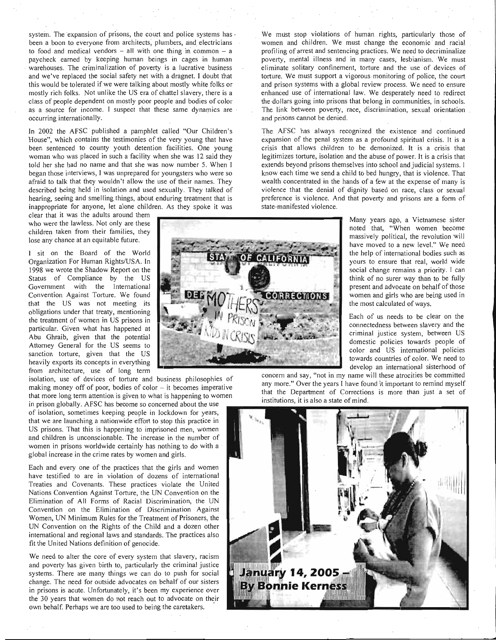system. The expansion of prisons, the court and police systems has been a boon to everyone from architects, plumbers, and electricians to food and medical vendors  $-$  all with one thing in common  $-$  a paycheck earned by keeping human beings in cages in human warehouses. The criminalization of poverty is a lucrative business and we've replaced the social safety net with a dragnet. I doubt that this would be tolerated if we were talking about mostly white folks or mostly rich folks. Not unlike the US era of chattel slavery, there is a class of people dependent on mostly poor people and bodies of color as a source for income. I suspect that these same dynamics are occurring internationally.

In 2002 the AFSC published a pamphlet called "Our Children's House", which contains the testimonies of the very young that have been sentenced to county youth detention facilities. One young woman who was placed in such a facility when she was 12 said they told her she had no name and that she was now number 5. When I began those interviews, I was unprepared for youngsters who were so afraid to talk that they wouldn't allow the use of their names. They described being held in isolation and used sexually. They talked of hearing, seeing and smelling things, about enduring treatment that is inappropriate for anyone, let alone children. As they spoke it was

clear that it was the adults around them who were the lawless. Not only are these children taken from their families, they lose any chance at an equitable future.

I sit on the Board of the World Organization For Human Rights/USA. In 1998 we wrote the Shadow Report on the Status of Compliance by the US Government with the International Convention Against Torture. We found that the US was not meeting its obligations under that treaty, mentioning the treatment of women in US prisons in particular. Given what has happened at Abu Ghraib, given that the potential Attorney General for the US seems to sanction torture, given that the US heavily exports its concepts in everything from architecture, use of long term

isolation, use of devices of torture and business philosophies of making money off of poor, bodies of color  $-$  it becomes imperative that more long term attention is given to what is happening to women

in prison globally. AFSC has become so concerned about the use of isolation, sometimes keeping people in lockdown for years, that we are launching a nationwide effort to stop this practice in US prisons. That this is happening to imprisoned men, women and children is unconscionable. The increase in the number of women in prisons worldwide certainly has nothing to do with a global increase in the crime rates by women and girls.

Each and every one of the practices that the girls and women have testified to are in violation of dozens of international Treaties and Covenants. These practices violate the United Nations Convention Against Torture, the UN Convention on the Elimination of All Forms of Racial Discrimination, the UN Convention on the Elimination of Discrimination Against Women, UN Minimum Rules for the Treatment of Prisoners, the UN Convention on the Rights of the Child and a dozen other international and regional laws and standards. The practices also fit the United Nations definition of genocide.

We need to alter the core of every system that slavery, racism and poverty has given birth to, particularly the criminal justice systems. There are many things we can do to push for social change. The need for outside advocates on behalf of our sisters in prisons is acute. Unfortunately, it's been my experience over the 30 years that women do not reach out to advocate on their own behalf. Perhaps we are too used to being the caretakers.

We must stop violations of human rights, particularly those of women and children. We must change the economic and racial profiling of arrest and sentencing practices. We need to decriminalize poverty, mental illness and in many cases, lesbianism. We must eliminate solitary confinement, torture and the use of devices of torture. We must support a vigorous monitoring of police, the court and prison systems with a global review process. We need to ensure enhanced use of international law. We desperately need to redirect the dollars going into prisons that belong in communities, in schools. The link between poverty, race, discrimination, sexual orientation and prisons cannot be denied.

The AFSC has always recognized the existence and continued expansion of the penal system as a profound spiritual crisis. It is a crisis that allows children to be demonized. It is a crisis that legitimizes torture, isolation and the abuse of power. It is a crisis that extends beyond prisons themselves into school and judicial systems. I know each time we send a child to bed hungry, that is violence. That wealth concentrated in the hands of a few at the expense of many is violence that the denial of dignity based on race, class or sexual preference is violence. And that poverty and prisons are a form of state-manifested violence.

> Many years ago, a Vietnamese sister noted that, "When women become massively political, the revolution will have moved to a new level." We need the help of international bodies such as yours to ensure that real, world wide social change remains a priority. I can think of no surer way than to be fully present and advocate on behalf of those women and girls who are being used in the most calculated of ways.

> Each of us needs to be clear on the connectedness between slavery and the criminal justice system, between US domestic policies towards people of color and US international policies towards countries of color. We need to develop an international sisterhood of

concern and say, "not in my name will these atrocities be committed any more." Over the years I have found it important to remind myself that the Department of Corrections is more than just a set of institutions, it is also a state of mind.



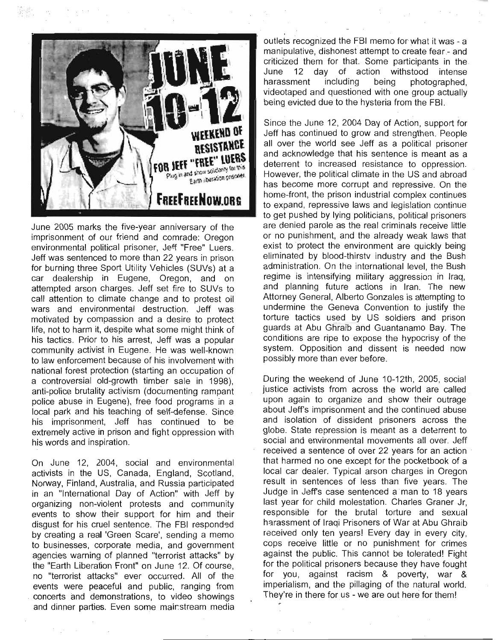

June 2005 marks the five-year anniversary of the imprisonment of our friend and comrade: Oregon environmental political prisoner, Jeff "Free" Luers. Jeff was sentenced to more than 22 years in prison for burning three Sport Utility Vehicles (SUVs) at a car dealership in Eugene, Oregon, and on attempted arson charges. Jeff set fire to SUVs to call attention to climate change and to protest oil wars and environmental destruction. Jeff was motivated by compassion and a desire to protect life, not to harm it, despite what some might think of his tactics. Prior to his arrest, Jeff was a popular community activist in Eugene. He was well-known to law enforcement because of his involvement with national forest protection (starting an occupation of a controversial old-growth timber sale in 1998), anti-police brutality activism (documenting rampant police abuse in Eugene), free food programs in a local park and his teaching of self-defense. Since his imprisonment, Jeff has continued to be extremely active in prison and fight oppression with his words and inspiration.

On June 12, 2004, social and environmental activists in the US, Canada, England, Scotland, Norway, Finland, Australia, and Russia participated in an "International Day of Action" with Jeff by organizing non-violent protests and community events to show their support for him and their disgust for his cruel sentence. The FBI responded by creating a real 'Green Scare', sending a memo to businesses, corporate media, and government agencies warning of planned "terrorist attacks" by the "Earth Liberation Front" on June 12. Of course, no "terrorist attacks" ever occurred. All of the events were peaceful and public, ranging from concerts and demonstrations, to video showings and dinner parties. Even some mainstream media outlets recognized the FBI memo for what it was - a manipulative, dishonest attempt to create fear - and criticized them for that. Some participants in the June 12 day of action withstood intense harassment including being photographed, videotaped and questioned with one group actually being evicted due to the hysteria from the FBI.

Since the June 12, 2004 Day of Action, support for Jeff has continued to grow and strengthen. People all over the world see Jeff as a political prisoner and acknowledge that his sentence is meant as a deterrent to increased resistance to oppression. However, the political climate in the US and abroad has become more corrupt and repressive. On the home-front, the prison industrial complex continues to expand, repressive laws and legislation continue to get pushed by lying politicians, political prisoners are denied parole as the real criminals receive little or no punishment, and the already weak laws that exist to protect the environment are quickly being eliminated by blood-thirstv industry and the Bush administration. On the international level, the Bush regime is intensifying military aggression in Iraq, and planning future actions in Iran. The new Attorney General, Alberto Gonzales is attempting to undermine the Geneva Convention to justify the torture tactics used by US soldiers and prison guards at Abu Ghraib and Guantanamo Bay. The conditions are ripe to expose the hypocrisy of the system. Opposition and dissent is needed now possibly more than ever before.

During the weekend of June 10-12th, 2005, social justice activists from across the world are called upon again to organize and show their outrage about Jeff's imprisonment and the continued abuse and isolation of dissident prisoners across the globe. State repression is meant as a deterrent to social and environmental movements all over. Jeff received a sentence of over 22 years for an action that harmed no one except for the pocketbook of a local car dealer. Typical arson charges in Oregon result in sentences of less than five years. The Judge in Jeffs case sentenced a man to 18 years last year for child molestation. Charles Graner Jr, responsible for the brutal torture and sexual harassment of Iraqi Prisoners of War at Abu Ghraib received only ten years! Every day in every city, cops receive little or no punishment for crimes against the public. This cannot be tolerated! Fight for the political prisoners because they have fought for you, against racism & poverty, war & imperialism, and the pillaging of the natural world. They're in there for us - we are out here for them!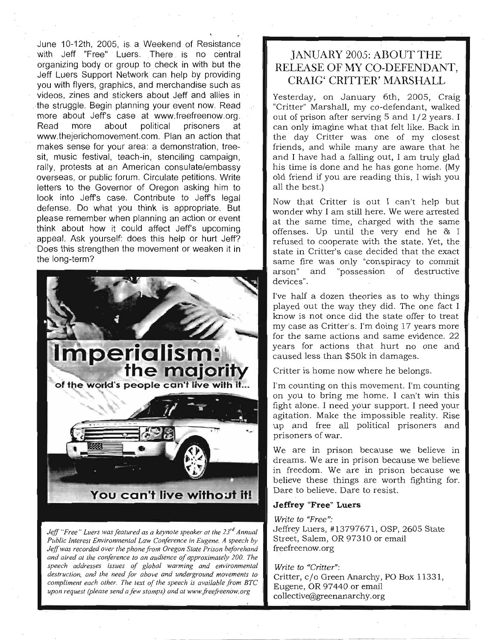June 10-12th, 2005, is a Weekend of Resistance with Jeff "Free" Luers. There is no central organizing body or group to check in with but the Jeff Luers Support Network can help by providing you with flyers, graphics, and merchandise such as videos, zines and stickers about Jeff and allies in the struggle. Begin planning your event now. Read more about Jeffs case at www.freefreenow.org. Read more about political prisoners at www.thejerichomovement.com. Plan an action that makes sense for your area: a demonstration, treesit, music festival, teach-in, stenciling campaign, rally, protests at an American consulate/embassy overseas, or public forum. Circulate petitions. Write letters to the Governor of Oregon asking him to look into Jeffs case. Contribute to Jeffs legal defense. Do what you think is appropriate. But please remember when planning an action or event think about how it could affect Jeff's upcoming appeal. Ask yourself: does this help or hurt Jeff? Does this strengthen the movement or weaken it in the long-term?



*Jeff "Free" Luers was featured as a keynote speaker at the 23<sup>rd</sup> Annual Public Interest Environmental Law Conference in Eugene. A speech by Jeff was recorded over the phone from Oregon State Prison beforehand and aired at the conference to an audience of approximately 200. The speech addresses issues of global warming and environmental destruction, and the need for above and underground movements to compliment each other. The text of the speech is available from ETC upon request (please send a few stamps) and at www.freefreenow.org*

#### JANUARY 2005: ABOUT THE RELEASE OF MY CO-DEFENDANT, CRAIG' CRITTER' MARSHALL

Yesterday, on January 6th, 2005, Craig "Critter" Marshall, my co-defendant, walked out of prison after serving 5 and 1/2 years. I can only imagine what that felt like. Back in the day Critter was one of my closest friends, and while many are aware that he and I have had a falling out, I am truly glad his time is done and he has gone home. (My old friend if you are reading this, I wish you all the best.)

Now that Critter is out I can't help but wonder why I am still here. We were arrested at the same time, charged with the same offenses. Up until the very end he & I refused to cooperate with the state. Yet, the state in Critter's case decided that the exact same fire was only "conspiracy to commit arson" and "possession of destructive devices".

I've half a dozen theories as to why things played out the way they did. The one fact I know is not once did the state offer to treat my case as Critter's. I'm doing 17 years more for the same actions and same evidence. 22 years for actions that hurt no one and caused less than \$50k in damages.

Critter is home now where he belongs.

I'm counting on this movement. I'm counting on you to bring me home. I can't win this fight alone. I need your support. I need your agitation. Make the impossible reality. Rise up and free all political prisoners and prisoners of war.

We are in prison because we believe in dreams. We are in prison because we believe in freedom. We are in prison because we believe these things are worth fighting for. Dare to believe. Dare to resist.

#### **Jeffrey "Free" Luers**

*Write to "Free":* Jeffrey Luers, #13797671, OSP, 2605 State Street, Salem, OR 97310 or email freefreenow.org

*Write to "Critter":* Critter, c/o Green Anarchy, PO Box 11331, Eugene, OR 97440 or email collective@greenanarchy.org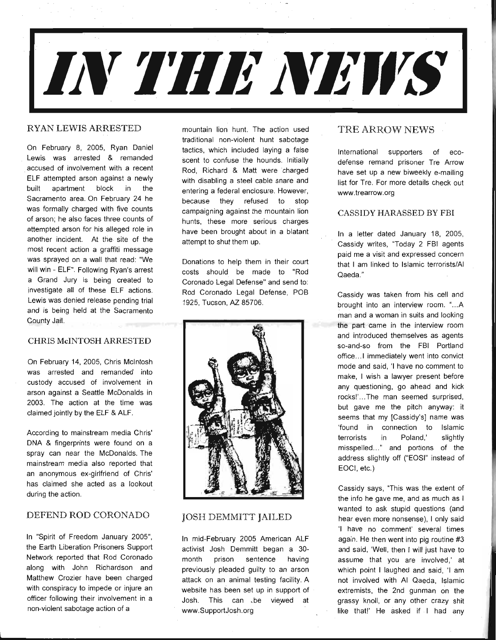# *L\ NEWS*

#### RYAN LEWIS ARRESTED

On February 8, 2005, Ryan Daniel Lewis was arrested & remanded accused of involvement with a recent ELF attempted arson against a newly built apartment block in the Sacramento area. On February 24 he was formally charged with five counts of arson; he also faces three counts of attempted arson for his alleged role in another incident. At the site of the most recent action a graffiti message was sprayed on a wall that read: "We will win - ELF". Following Ryan's arrest a Grand Jury is being created to investigate all of these ELF actions. Lewis was denied release pending trial and is being held at the Sacramento County Jail.

#### CHRIS McINTOSH ARRESTED

On February 14, 2005, Chris Mclntosh was arrested and remanded into custody accused of involvement in arson against a Seattle McDonalds in 2003. The action at the time was claimed jointly by the ELF & ALF.

According to mainstream media Chris' DNA & fingerprints were found on a spray can near the McDonalds. The mainstream media also reported that an anonymous ex-girlfriend of Chris' has claimed she acted as a lookout during the action.

#### DEFEND ROD **CORONADO**

In "Spirit of Freedom January 2005", the Earth Liberation Prisoners Support Network reported that Rod Coronado along with John Richardson and Matthew Crozier have been charged with conspiracy to impede or injure an officer following their involvement in a non-violent sabotage action of a

mountain lion hunt. The action used traditional non-violent hunt sabotage tactics, which included laying a false scent to confuse the hounds. Initially Rod, Richard & Matt were charged with disabling a steel cable snare and entering a federal enclosure. However, because they refused to stop campaigning against the mountain lion hunts, these more serious charges have been brought about in a blatant attempt to shut them up.

Donations to help them in their court costs should be made to "Rod Coronado Legal Defense" and send to: Rod Coronado Legal Defense, POB 1925, Tucson, AZ 85706.



#### JOSH DEMMITT JAILED

In mid-February 2005 American ALF activist Josh Demmitt began a 30 month prison sentence having previously pleaded guilty to an arson attack on an animal testing facility. A website has been set up in support of Josh. This can .be viewed at www.SupportJosh.org

#### TRE ARROW NEWS

International supporters of ecodefense remand prisoner Tre Arrow have set up a new biweekly e-mailing list for Tre. For more details check out www.trearrow.org

#### CASSIDY HARASSED BY FBI

In a letter dated January 18, 2005, Cassidy writes, "Today 2 FBI agents paid me a visit and expressed concern that I am linked to Islamic terrorists/AI Qaeda."

Cassidy was taken from his cell and brought into an interview room. "...A man and a woman in suits and looking the part came in the interview room and introduced themselves as agents so-and-so from the FBI Portland office...! immediately went into convict mode and said, 'I have no comment to make, I wish a lawyer present before any questioning, go ahead and kick rocks!'...The man seemed surprised, but gave me the pitch anyway: it seems that my [Cassidy's] name was 'found in connection to Islamic terrorists in Poland,' slightly misspelled..." and portions of the address slightly off ("EOSI" instead of EOCI, etc.)

Cassidy says, "This was the extent of the info he gave me, and as much as I wanted to ask stupid questions (and hear even more nonsense), I only said 'I have no comment' several times again. He then went into pig routine #3 and said, 'Well, then I will just have to assume that you are involved,' at which point I laughed and said, 'I am not involved with Al Qaeda, Islamic extremists, the 2nd gunman on the grassy knoll, or any other crazy shit like that!' He asked if I had any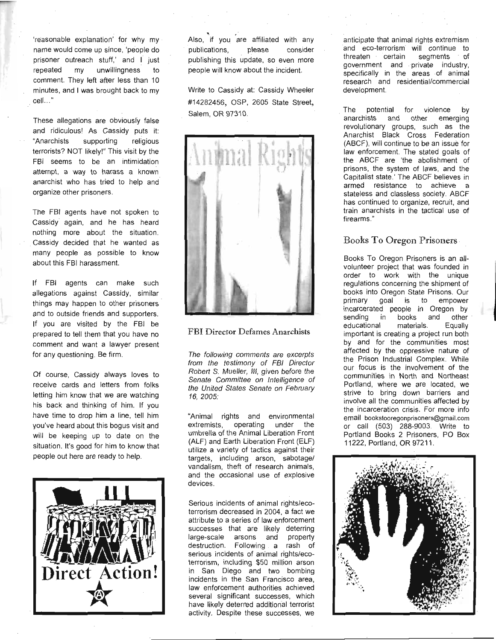'reasonable explanation' for why my name would come up since, 'people do prisoner outreach stuff,' and I just repeated my unwillingness to comment. They left after less than 10 minutes, and I was brought back to my cell..."

These allegations are obviously false and ridiculous! As Cassidy puts it: "Anarchists supporting religious terrorists? NOT likely!" This visit by the FBI seems to be an intimidation attempt, a way to harass a known anarchist who has tried to help and organize other prisoners.

The FBI agents have not spoken to Cassidy again, and he has heard nothing more about the situation. Cassidy decided that he wanted as many people as possible to know about this FBI harassment.

If FBI agents can make such allegations against Cassidy, similar things may happen to other prisoners and to outside friends and supporters. If you are visited by the FBI be prepared to tell them that you have no comment and want a lawyer present for any questioning. Be firm.

Of course, Cassidy always loves to receive cards and letters from folks letting him know that we are watching his back and thinking of him. If you have time to drop him a line, tell him you've heard about this bogus visit and will be keeping up to date on the situation. It's good for him to know that people out here are ready to help.



Also, if you are affiliated with any publications, please consider publishing this update, so even more people will know about the incident.

Write to Cassidy at: Cassidy Wheeler #14282456, OSP, 2605 State Street, Salem, OR 97310.



#### FBI Director Defames Anarchists

The following comments are excerpts from the testimony of FBI Director Robert S. Mueller, III, given before the Senate Committee on Intelligence of the United States Senate on February 16, 2005:

"Animal rights and environmental extremists, operating under the umbrella of the Animal Liberation Front (ALF) and Earth Liberation Front (ELF) utilize a variety of tactics against their targets, including arson, sabotage/ vandalism, theft of research animals, and the occasional use of explosive devices.

Serious incidents of animal rights/ecoterrorism decreased in 2004, a fact we attribute to a series of law enforcement successes that are likely deterring large-scale arsons and property destruction. Following a rash of serious incidents of animal rights/ecoterrorism, including \$50 million arson in San Diego and two bombing incidents in the San Francisco area, law enforcement authorities achieved several significant successes, which have likely deterred additional terrorist activity. Despite these successes, we

anticipate that animal rights extremism and eco-terrorism will continue to threaten certain segments of government and private industry, specifically in the areas of animal research and residential/commercial development.

The potential for violence by anarchists and other emerging revolutionary groups, such as the Anarchist Black Cross Federation (ABCF), will continue to be an issue for law enforcement. The stated goals of the ABCF are 'the abolishment of prisons, the system of laws, and the Capitalist state.' The ABCF believes in armed resistance to achieve a stateless and classless society. ABCF has continued to organize, recruit, and train anarchists in the tactical use of firearms."

#### Books To Oregon Prisoners

Books To Oregon Prisoners is an allvolunteer project that was founded in order to work with the unique regulations concerning the shipment of books into Oregon State Prisons. Our primary goal is to empower incarcerated people in Oregon by sending in books and other educational materials. Equally important is creating a project run both by and for the communities most affected by the oppressive nature of the Prison Industrial Complex. While our focus is the involvement of the communities in North and Northeast Portland, where we are located, we strive to bring down barriers and involve all the communities affected by the incarceration crisis. For more info email bookstooregonprisoners@gmail.com or call (503) 288-9003. Write to Portland Books 2 Prisoners, PO Box 11222, Portland, OR 97211.

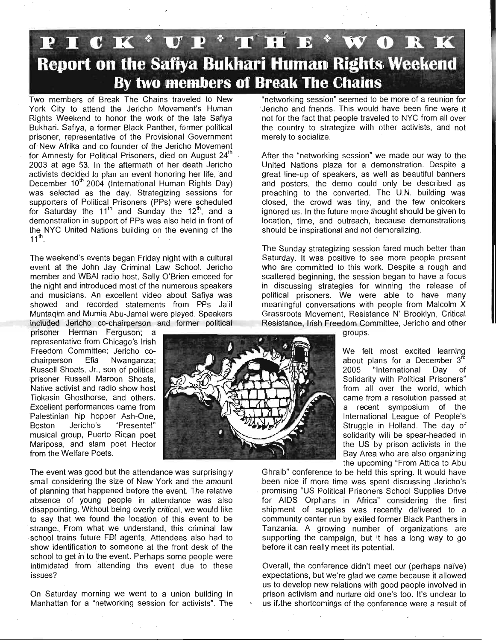PICK \* UP \* THE \* WORK **Report on the Safiya Bukhari Human Rights Weekend By two members of Break The Chains**

Two members of Break The Chains traveled to New York City to attend the Jericho Movement's Human Rights Weekend to honor the work of the late Safiya Bukhari. Safiya, a former Black Panther, former political prisoner, representative of the Provisional Government of New Afrika and co-founder of the Jericho Movement for Amnesty for Political Prisoners, died on August 24<sup>th</sup> 2003 at age 53. In the aftermath of her death Jericho activists decided to plan an event honoring her life, and December 10<sup>th</sup> 2004 (International Human Rights Day) was selected as the day. Strategizing sessions for supporters of Political Prisoners (PPs) were scheduled for Saturday the  $11^{\text{th}}$  and Sunday the  $12^{\text{th}}$ , and a demonstration in support of PPs was also held in front of the NYC United Nations building on the evening of the  $11^{th}$ .

The weekend's events began Friday night with a cultural event at the John Jay Criminal Law School. Jericho member and WBAI radio host, Sally O'Brien emceed for the night and introduced most of the numerous speakers and musicians. An excellent video about Safiya was showed and recorded statements from PPs Jalil Muntaqim and Mumia Abu-Jamal were played. Speakers included Jericho co-chairperson and former political

prisoner Herman Ferguson; a representative from Chicago's Irish Freedom Committee; Jericho cochairperson Efia Nwanganza; Russell Shoats, Jr., son of political prisoner Russell Maroon Shoats, Native activist and radio show host Tiokasin Ghosthorse, and others. Excellent performances came from Palestinian hip hopper Ash-One, Boston Jericho's "Presente!" musical group, Puerto Rican poet Mariposa, and slam poet Hector from the Welfare Poets.

The event was good but the attendance was surprisingly small considering the size of New York and the amount of planning that happened before the event. The relative absence of young people in attendance was also disappointing. Without being overly critical, we would like to say that we found the location of this event to be strange. From what we understand, this criminal law school trains future FBI agents. Attendees also had to show identification to someone at the front desk of the school to get in to the event. Perhaps some people were intimidated from attending the event due to these issues?

On Saturday morning we went to a union building in Manhattan for a "networking session for activists". The

"networking session" seemed to be more of a reunion for Jericho and friends. This would have been fine were it not for the fact that people traveled to NYC from all over the country to strategize with other activists, and not merely to socialize.

After the "networking session" we made our way to the United Nations plaza for a demonstration. Despite a great line-up of speakers, as well as beautiful banners and posters, the demo could only be described as preaching to the converted. The U.N. building was closed, the crowd was tiny, and the few onlookers ignored us. In the future more thought should be given to location, time, and outreach, because demonstrations should be inspirational and not demoralizing.

The Sunday strategizing session fared much better than Saturday. It was positive to see more people present who are committed to this work. Despite a rough and scattered beginning, the session began to have a focus in discussing strategies for winning the release of political prisoners. We were able to have many meaningful conversations with people from Malcolm X Grassroots Movement, Resistance N' Brooklyn, Critical Resistance, Irish Freedom Committee, Jericho and other



We felt most excited learning about plans for a December 3<sup>rd</sup> 2005 "International Day of Solidarity with Political Prisoners" from all over the world, which came from a resolution passed at recent symposium of the International League of People's Struggle in Holland. The day of solidarity will be spear-headed in the US by prison activists in the Bay Area who are also organizing the upcoming "From Attica to Abu

Ghraib" conference to be held this spring. It would have been nice if more time was spent discussing Jericho's promising "US Political Prisoners School Supplies Drive for AIDS Orphans in Africa" considering the first shipment of supplies was recently delivered to a community center run by exiled former Black Panthers in Tanzania. A growing number of organizations are supporting the campaign, but it has a long way to go before it can really meet its potential.

Overall, the conference didn't meet our (perhaps naïve) expectations, but we're glad we came because it allowed us to develop new relations with good people involved in prison activism and nurture old one's too. It's unclear to us if,the shortcomings of the conference were a result of

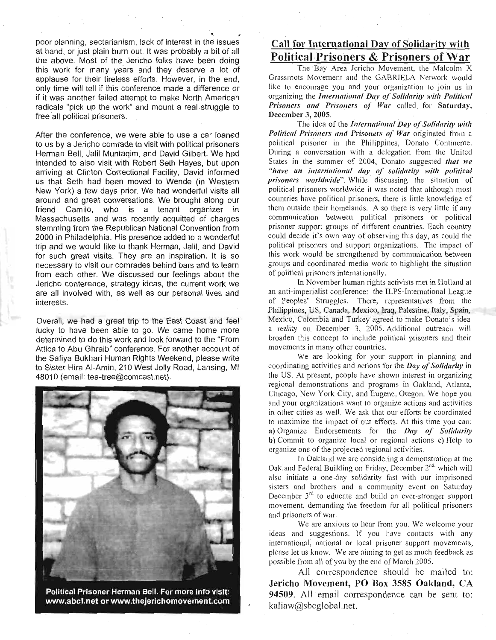poor planning, sectarianism, lack of interest in the issues at hand, or just plain burn out. It was probably a bit of all the above. Most of the Jericho folks have been doing this work for many years and they deserve a lot of applause for their tireless efforts. However, in the end, only time will tell if this conference made a difference or if it was another failed attempt to make North American radicals "pick up the work" and mount a real struggle to free all political prisoners.

After the conference, we were able to use a car loaned to us by a Jericho comrade to visit with political prisoners Herman Bell, Jalil Muntaqim, and David Gilbert. We had intended to also visit with Robert Seth Hayes, but upon arriving at Clinton Correctional Facility, David informed us that Seth had been moved to Wende (in Western New York) a few days prior. We had wonderful visits all around and great conversations. We brought along our friend Camilo, who is a tenant organizer in Massachusetts and was recently acquitted of charges stemming from the Republican National Convention from 2000 in Philadelphia. His presence added to a wonderful trip and we would like to thank Herman, Jalil, and David for such great visits. They are an inspiration. It is so necessary to visit our comrades behind bars and to learn from each other. We discussed our feelings about the Jericho conference, strategy ideas, the current work we are all involved with, as well as our personal lives and interests.

Overall, we had a great trip to the East Coast and feel lucky to have been able to go. We came home more determined to do this work and look forward to the "From Attica to Abu Ghraib" conference. For another account of the Safiya Bukhari Human Rights Weekend, please write to Sister Hira AI-Amin, 210 West Jolly Road, Lansing, Ml 48010 (email: tea-tree@comcast.net).



Political Prisoner Herman Bell. For more info visit: www.abcf.net or www.thejerichomovement.com

#### **Call for International Day of Solidarity with Political Prisoners & Prisoners of War**

The Bay Area Jericho Movement, the Malcolm X Grassroots Movement and the GABRIELA Network would like to encourage you and your organization to join us in organizing the *International Day of Solidarity with Political Prisoners anil Prisoners of War* called for Saturday, December 3, 2005.

The idea of the *International Day of Solidarity with Political Prisoners and Prisoners of War* originated from a political prisoner in the Philippines, Donato Continente. During a conversation with a delegation from the United States in the summer of 2004, Donate suggested *that we "have an international day of solidarity with political prisoners worldwide".* While discussing the situation of political prisoners worldwide it was noted that although most countries have political prisoners, there is little knowledge of them outside their homelands. Also there is very little if any communication between political prisoners or political prisoner support groups of different countries. Each country could decide it's own way of observing this day, as could the political prisoners and support organizations. The impact of this work would be strengthened by communication between groups and coordinated media work to highlight the situation of political prisoners internationally.

In November human rights activists met in Holland at an anti-imperialist conference: the ILPS-International League of Peoples' Struggles. There, representatives from the Philippines, US, Canada, Mexico, Iraq, Palestine, Italy, Spain, Mexico, Colombia and Turkey agreed to make Donato's idea a reality on December 3, 2005. Additional outreach will broaden this concept to include political prisoners and their movements in many other countries.

We are looking for your support in planning and coordinating activities and actions for the *Day of Solidarity* in the US. At present, people have shown interest in organizing regional demonstrations and programs in Oakland, Atlanta, Chicago, New York City, and Eugene, Oregon. We hope you and your organizations want to organize actions and activities in other cities as well. We ask that our efforts be coordinated to maximize the impact of our efforts. At this time you can: a) Organize Endorsements for the *Day of Solidarity* b) Commit to organize local or regional actions c) Help to organize one of the projected regional activities.

In Oakland we are considering a demonstration at the Oakland Federal Building on Friday, December 2<sup>nd.</sup> which will also initiate a one-day solidarity fast with our imprisoned sisters and brothers and a community event on Saturday December  $3<sup>rd</sup>$  to educate and build an ever-stronger support movement, demanding the freedom for all political prisoners and prisoners of war.

We are anxious to hear from you. We welcome your ideas and suggestions. If you have contacts with any international, national or local prisoner support movements, please let us know. We are aiming to get as much feedback as possible from all of you by the end of March 2005.

All correspondence should be mailed to: **Jericho Movement, PO Box** 3585 **Oakland, CA 94509.** All email correspondence can be sent to: kaliaw@sbcglobal.net.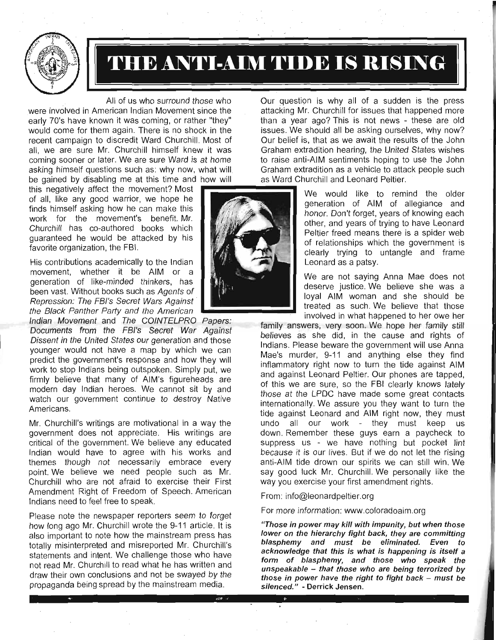

## **THE ANTI-AIM TIDE IS RISING**

All of us who surround those who were involved in American Indian Movement since the early 70's have known it was coming, or rather "they" would come for them again. There is no shock in the recent campaign to discredit Ward Churchill. Most of all, we are sure Mr. Churchill himself knew it was coming sooner or later. We are sure Ward is at home asking himself questions such as: why now, what will be gained by disabling me at this time and how will

this negatively affect the movement? Most of all, like any good warrior, we hope he finds himself asking how he can make this work for the movement's benefit. Mr. Churchill has co-authored books which guaranteed he would be attacked by his favorite organization, the FBI.

His contributions academically to the Indian movement, whether it be AIM or a generation of like-minded thinkers, has been vast. Without books such as Agents of Repression: The FBI's Secret Wars Against the Black Panther Party and the American

ndian Movement and The COINTELPRO Papers: Documents from the FBI's Secret War Against Dissent in the United States our generation and those younger would not have a map by which we can predict the government's response and how they will work to stop Indians being outspoken. Simply put, we firmly believe that many of AIM's figureheads are modern day Indian heroes. We cannot sit by and watch our government continue to destroy Native Americans.

Mr. Churchill's writings are motivational in a way the government does not appreciate. His writings are critical of the government. We believe any educated Indian would have to agree with his works and themes though not necessarily embrace every point. We believe we need people such as Mr. Churchill who are not afraid to exercise their First Amendment Right of Freedom of Speech. American Indians need to feel free to speak.

Please note the newspaper reporters seem to forget how long ago Mr. Churchill wrote the 9-11 article. It is also important to note how the mainstream press has totally misinterpreted and misreported Mr. Churchill's statements and intent. We challenge those who have not read Mr. Churchill to read what he has written and draw their own conclusions and not be swayed by the propaganda being spread by the mainstream media.



Our question is why all of a sudden is the press attacking Mr. Churchill for issues that happened more than a year ago? This is not news - these are old issues. We should all be asking ourselves, why now? Our belief is, that as we await the results of the John Graham extradition hearing, the United States wishes to raise anti-AIM sentiments hoping to use the John Graham extradition as a vehicle to attack people such as Ward Churchill and Leonard Peltier.

> We would like to remind the older generation of AIM of allegiance and honor. Don't forget, years of knowing each other, and years of trying to have Leonard Peltier freed means there is a spider web of relationships which the government is clearly trying to untangle and frame Leonard as a patsy.

> We are not saying Anna Mae does not deserve justice. We believe she was a loyal AIM woman and she should be treated as such. We believe that those involved in what happened to her owe her

family answers, very soon. We hope her family still believes as she did, in the cause and rights of Indians. Please beware the government will use Anna Mae's murder, 9-11 and anything else they find inflammatory right now to turn the tide against AIM and against Leonard Peltier. Our phones are tapped, of this we are sure, so the FBI clearly knows lately those at the LPDC have made some great contacts internationally. We assure you they want to turn the tide against Leonard and AIM right now, they must undo all our work - they must keep us down. Remember these guys earn a paycheck to suppress us - we have nothing but pocket lint because it is our lives. But if we do not let the rising anti-AIM tide drown our spirits we can still win. We say good luck Mr. Churchill. We personally like the way you exercise your first amendment rights.

From: info@leonardpeltier.org

For more information: www.coloradoaim.org

**"Those in power may kill with impunity, but when those lower on the hierarchy fight back, they are committing blasphemy and must be eliminated. Even to acknowledge that this is what is happening is itself a form of blasphemy, and those who speak the unspeakable - that those who are being terrorized by those in power have the right to fight back - must be silenced." - Derrick Jensen.**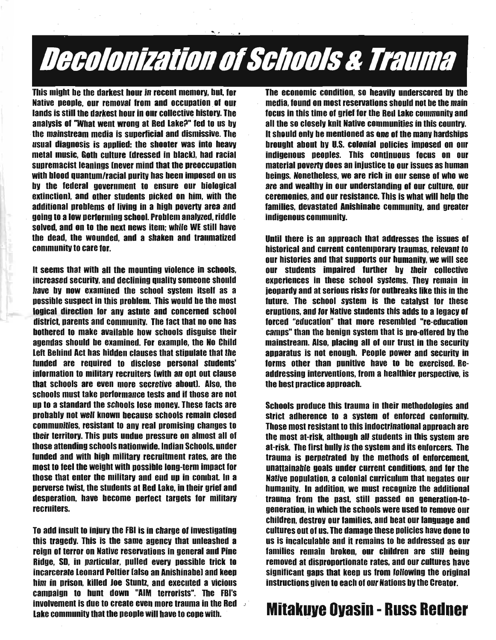# **Decolonization of Schools & Trauma**

**This might be the darkest hour in recent memory, but for Native people, our removal from and occupation of our lands is still the darkest hour in our collective history. The analysis of "What went wrong at Red lake?" fed to us by the mainstream media is superficial and dismissive. The usual diagnosis is applied: the shooter was into heavy metal music, Goth culture (dressed in black], had racial supremacist leanings (never mind that the preoccupation with blood quantum/racial purity has been imposed on us by the federal government to ensure our biological extinction), and other students picked on him, with the additional problems of living in a high poverty area and going to a low performing school. Problem analyzed, riddle solved, and on to the next news item; while WE still have the dead, the wounded, and a shaken and traumatized community to care for.**

**It seems that with all the mounting violence in schools, increased security, and declining quality someone should have by now examined the school system itself as a possible suspect in this problem. This would be the most logical direction for any astute and concerned school district parents and community. The fact that no one has bothered to make available how schools disguise their agendas should be examined. For example, the No Child Left Behind Act has hidden clauses that stipulate that the funded are required to disclose personal students' information to military recruiters (with an opt out clause that schools are even more secretive about]. Also, the schools must take performance tests and if those are not up to a standard the schools lose money. These facts are probably not well known because schools remain closed communities, resistant to any real promising changes to their territory. This puts undue pressure on almost all of those attending schools nationwide. Indian Schools, under funded and with high military recruitment rates, are the most to feel the weight with possible long-term impact for those that enter the military and end up in combat In a perverse twist the students at Red Lake, in their grief and desperation, have become perfect targets for military recruiters.**

**To add insult to injury the FBI is in charge of investigating this tragedy. This is the same agency that unleashed a reign of terror on Native reservations in general and Pine Ridge, SD, in particular, pulled every possible trick to incarcerate Leonard Peltier (also an Anishinabe) and keep him in prison, killed Joe Stuntz, and executed a vicious campaign to hunt down "AIM terrorists". The FBI's involvement is due to create even more trauma in the Red Lake community that the people will have to cope with.**

**The economic condition, so heavily underscored by the media, found on most reservations should not be the main focus in this time of grief for the Red Lake community and all the so closely knit Native communities in this country. It should only be mentioned as one of the many hardships brought about by U.S. colonial policies imposed on our indigenous peoples. This continuous focus on our material poverty does an injustice to our issues as human beings. Nonetheless, we are rich in our sense of who we are and wealthy in our understanding of our culture, our ceremonies, and our resistance. This is what will help the families, devastated Anishinabe community, and greater indigenous community.**

**Until there is an approach that addresses the issues of historical and current contemporary traumas, relevant to our histories and that supports our humanity, we will see our students impaired further by their collective experiences in these school systems. They remain in jeopardy and at serious risks for outbreaks like this in the future. The school system is the catalyst for these eruptions, and for Native students this adds to a legacy of forced "education" that more resembled "re-education camps" than the benign system that is pro-offered by the mainstream. Also, placing all of our trust in the security apparatus is not enough. People power and security in forms other than punitive have to be exercised. Re addressing interventions, from a healthier perspective, is the best practice approach.**

**Schools produce this trauma in their methodologies and strict adherence to a system of enforced conformity. Those most resistant to this indoctrinational approach are the most at-risk, although all students in this system are at-risk. The first bully is the system and its enforcers. The trauma is perpetrated by the methods of enforcement unattainable goals under current conditions, and for the Native population, a colonial curriculum that negates our humanity. In addition, we must recognize the additional trauma from the past still passed on generation-to generation, in which the schools were used to remove our children, destroy our families, and beat our language and cultures out of us. The damage these policies have done to us is incalculable and it remains to be addressed as our families remain broken, our children are still being removed at disproportionate rates, and our cultures have significant gaps that keep us from following the original instructions given to each of our Nations by the Creator.**

## **Mitakuye Oyasin - Russ Redner**